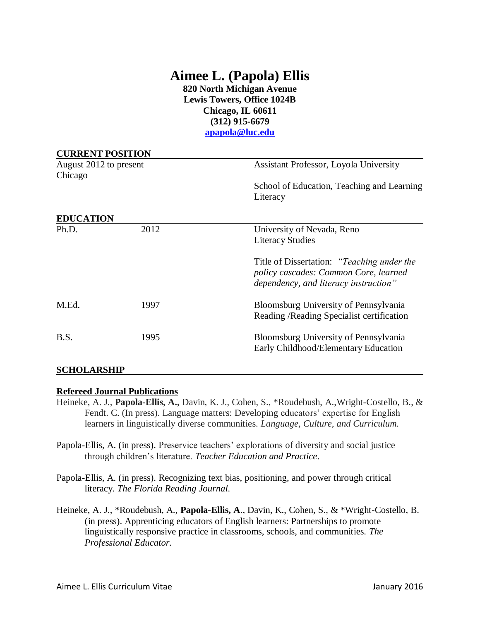# **Aimee L. (Papola) Ellis**

**820 North Michigan Avenue Lewis Towers, Office 1024B Chicago, IL 60611 (312) 915-6679 [apapola@luc.edu](mailto:apapola@luc.edu)**

| <b>CURRENT POSITION</b>           |      |                                                                                                                              |  |
|-----------------------------------|------|------------------------------------------------------------------------------------------------------------------------------|--|
| August 2012 to present<br>Chicago |      | Assistant Professor, Loyola University                                                                                       |  |
|                                   |      | School of Education, Teaching and Learning<br>Literacy                                                                       |  |
| <b>EDUCATION</b>                  |      |                                                                                                                              |  |
| Ph.D.                             | 2012 | University of Nevada, Reno<br><b>Literacy Studies</b>                                                                        |  |
|                                   |      | Title of Dissertation: "Teaching under the<br>policy cascades: Common Core, learned<br>dependency, and literacy instruction" |  |
| M.Ed.                             | 1997 | Bloomsburg University of Pennsylvania<br>Reading / Reading Specialist certification                                          |  |
| B.S.                              | 1995 | Bloomsburg University of Pennsylvania<br>Early Childhood/Elementary Education                                                |  |
| <b>SCHOLARSHIP</b>                |      |                                                                                                                              |  |

#### **Refereed Journal Publications**

- Heineke, A. J., **Papola-Ellis, A.,** Davin, K. J., Cohen, S., \*Roudebush, A.,Wright-Costello, B., & Fendt. C. (In press). Language matters: Developing educators' expertise for English learners in linguistically diverse communities. *Language, Culture, and Curriculum.*
- Papola-Ellis, A. (in press). Preservice teachers' explorations of diversity and social justice through children's literature. *Teacher Education and Practice*.
- Papola-Ellis, A. (in press). Recognizing text bias, positioning, and power through critical literacy. *The Florida Reading Journal.*
- Heineke, A. J., \*Roudebush, A., **Papola-Ellis, A**., Davin, K., Cohen, S., & \*Wright-Costello, B. (in press). Apprenticing educators of English learners: Partnerships to promote linguistically responsive practice in classrooms, schools, and communities. *The Professional Educator.*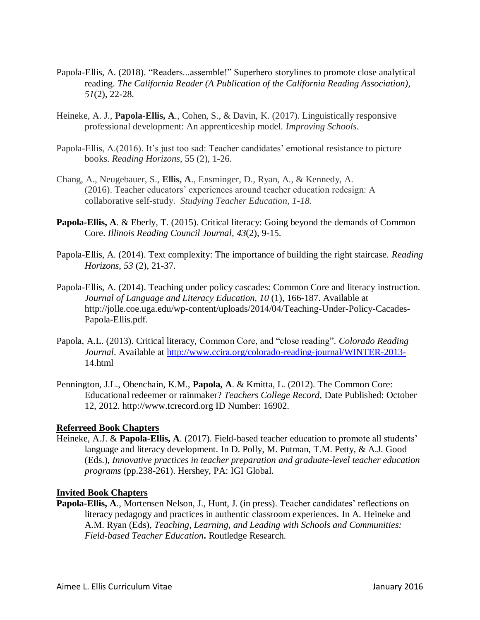- Papola-Ellis, A. (2018). "Readers...assemble!" Superhero storylines to promote close analytical reading. *The California Reader (A Publication of the California Reading Association), 51*(2), 22-28.
- Heineke, A. J., **Papola-Ellis, A**., Cohen, S., & Davin, K. (2017). Linguistically responsive professional development: An apprenticeship model. *Improving Schools*.
- Papola-Ellis, A.(2016). It's just too sad: Teacher candidates' emotional resistance to picture books. *Reading Horizons*, 55 (2), 1-26.
- Chang, A., Neugebauer, S., **Ellis, A**., Ensminger, D., Ryan, A., & Kennedy, A. (2016). Teacher educators' experiences around teacher education redesign: A collaborative self-study. *Studying Teacher Education, 1-18.*
- **Papola-Ellis, A**. & Eberly, T. (2015). Critical literacy: Going beyond the demands of Common Core. *Illinois Reading Council Journal, 43*(2), 9-15.
- Papola-Ellis, A. (2014). Text complexity: The importance of building the right staircase. *Reading Horizons*, *53* (2), 21-37.
- Papola-Ellis, A. (2014). Teaching under policy cascades: Common Core and literacy instruction. *Journal of Language and Literacy Education, 10* (1), 166-187. Available at http://jolle.coe.uga.edu/wp-content/uploads/2014/04/Teaching-Under-Policy-Cacades-Papola-Ellis.pdf.
- Papola, A.L. (2013). Critical literacy, Common Core, and "close reading". *Colorado Reading Journal*. Available at<http://www.ccira.org/colorado-reading-journal/WINTER-2013-> 14.html
- Pennington, J.L., Obenchain, K.M., **Papola, A**. & Kmitta, L. (2012). The Common Core: Educational redeemer or rainmaker? *Teachers College Record,* Date Published: October 12, 2012. http://www.tcrecord.org ID Number: 16902.

#### **Referreed Book Chapters**

Heineke, A.J. & **Papola-Ellis, A**. (2017). Field-based teacher education to promote all students' language and literacy development. In D. Polly, M. Putman, T.M. Petty, & A.J. Good (Eds.), *Innovative practices in teacher preparation and graduate-level teacher education programs* (pp.238-261). Hershey, PA: IGI Global.

#### **Invited Book Chapters**

**Papola-Ellis, A**., Mortensen Nelson, J., Hunt, J. (in press). Teacher candidates' reflections on literacy pedagogy and practices in authentic classroom experiences. In A. Heineke and A.M. Ryan (Eds), *Teaching, Learning, and Leading with Schools and Communities: Field-based Teacher Education***.** Routledge Research.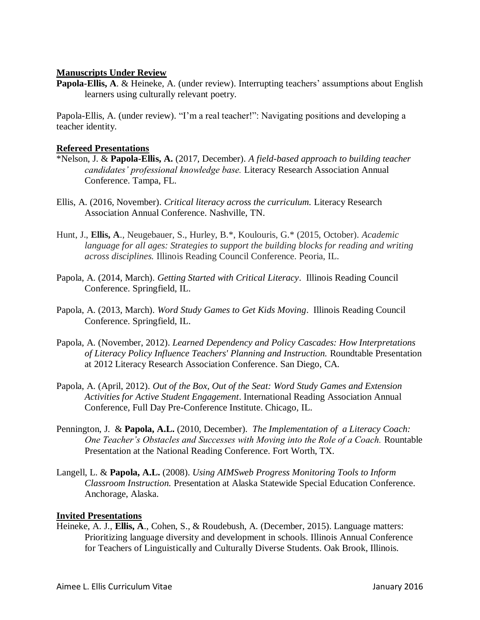#### **Manuscripts Under Review**

**Papola-Ellis, A**. & Heineke, A. (under review). Interrupting teachers' assumptions about English learners using culturally relevant poetry.

Papola-Ellis, A. (under review). "I'm a real teacher!": Navigating positions and developing a teacher identity.

#### **Refereed Presentations**

- \*Nelson, J. & **Papola-Ellis, A.** (2017, December). *A field-based approach to building teacher candidates' professional knowledge base.* Literacy Research Association Annual Conference. Tampa, FL.
- Ellis, A. (2016, November). *Critical literacy across the curriculum.* Literacy Research Association Annual Conference. Nashville, TN.
- Hunt, J., **Ellis, A**., Neugebauer, S., Hurley, B.\*, Koulouris, G.\* (2015, October). *Academic* language for all ages: Strategies to support the building blocks for reading and writing *across disciplines.* Illinois Reading Council Conference. Peoria, IL.
- Papola, A. (2014, March). *Getting Started with Critical Literacy*. Illinois Reading Council Conference. Springfield, IL.
- Papola, A. (2013, March). *Word Study Games to Get Kids Moving*. Illinois Reading Council Conference. Springfield, IL.
- Papola, A. (November, 2012). *Learned Dependency and Policy Cascades: How Interpretations of Literacy Policy Influence Teachers' Planning and Instruction.* Roundtable Presentation at 2012 Literacy Research Association Conference. San Diego, CA.
- Papola, A. (April, 2012). *Out of the Box, Out of the Seat: Word Study Games and Extension Activities for Active Student Engagement*. International Reading Association Annual Conference, Full Day Pre-Conference Institute. Chicago, IL.
- Pennington, J. & **Papola, A.L.** (2010, December). *The Implementation of a Literacy Coach: One Teacher's Obstacles and Successes with Moving into the Role of a Coach.* Rountable Presentation at the National Reading Conference. Fort Worth, TX.
- Langell, L. & **Papola, A.L.** (2008). *Using AIMSweb Progress Monitoring Tools to Inform Classroom Instruction.* Presentation at Alaska Statewide Special Education Conference. Anchorage, Alaska.

#### **Invited Presentations**

Heineke, A. J., **Ellis, A**., Cohen, S., & Roudebush, A. (December, 2015). Language matters: Prioritizing language diversity and development in schools. Illinois Annual Conference for Teachers of Linguistically and Culturally Diverse Students. Oak Brook, Illinois.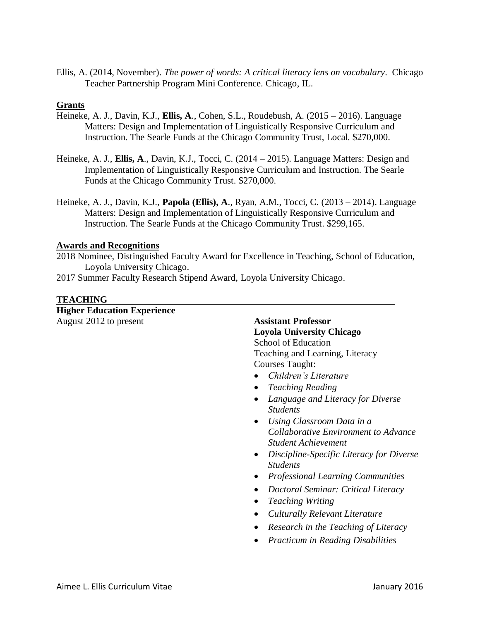Ellis, A. (2014, November). *The power of words: A critical literacy lens on vocabulary*. Chicago Teacher Partnership Program Mini Conference. Chicago, IL.

#### **Grants**

- Heineke, A. J., Davin, K.J., **Ellis, A**., Cohen, S.L., Roudebush, A. (2015 2016). Language Matters: Design and Implementation of Linguistically Responsive Curriculum and Instruction. The Searle Funds at the Chicago Community Trust, Local. \$270,000.
- Heineke, A. J., **Ellis, A**., Davin, K.J., Tocci, C. (2014 2015). Language Matters: Design and Implementation of Linguistically Responsive Curriculum and Instruction. The Searle Funds at the Chicago Community Trust. \$270,000.
- Heineke, A. J., Davin, K.J., **Papola (Ellis), A**., Ryan, A.M., Tocci, C. (2013 2014). Language Matters: Design and Implementation of Linguistically Responsive Curriculum and Instruction. The Searle Funds at the Chicago Community Trust. \$299,165.

#### **Awards and Recognitions**

- 2018 Nominee, Distinguished Faculty Award for Excellence in Teaching, School of Education, Loyola University Chicago.
- 2017 Summer Faculty Research Stipend Award, Loyola University Chicago.

#### **TEACHING**

**Higher Education Experience** August 2012 to present **Assistant Professor**

### **Loyola University Chicago** School of Education Teaching and Learning, Literacy Courses Taught:

- *Children's Literature*
- *Teaching Reading*
- *Language and Literacy for Diverse Students*
- *Using Classroom Data in a Collaborative Environment to Advance Student Achievement*
- *Discipline-Specific Literacy for Diverse Students*
- *Professional Learning Communities*
- *Doctoral Seminar: Critical Literacy*
- *Teaching Writing*
- *Culturally Relevant Literature*
- *Research in the Teaching of Literacy*
- *Practicum in Reading Disabilities*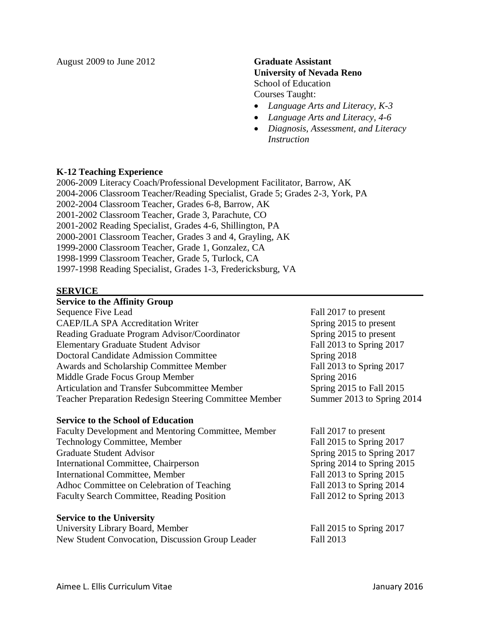August 2009 to June 2012 **Graduate Assistant**

## **University of Nevada Reno** School of Education Courses Taught:

- *Language Arts and Literacy, K-3*
- *Language Arts and Literacy, 4-6*
- *Diagnosis, Assessment, and Literacy Instruction*

#### **K-12 Teaching Experience**

2006-2009 Literacy Coach/Professional Development Facilitator, Barrow, AK 2004-2006 Classroom Teacher/Reading Specialist, Grade 5; Grades 2-3, York, PA 2002-2004 Classroom Teacher, Grades 6-8, Barrow, AK 2001-2002 Classroom Teacher, Grade 3, Parachute, CO 2001-2002 Reading Specialist, Grades 4-6, Shillington, PA 2000-2001 Classroom Teacher, Grades 3 and 4, Grayling, AK 1999-2000 Classroom Teacher, Grade 1, Gonzalez, CA 1998-1999 Classroom Teacher, Grade 5, Turlock, CA 1997-1998 Reading Specialist, Grades 1-3, Fredericksburg, VA

#### **SERVICE**

#### **Service to the Affinity Group**

| Sequence Five Lead                                     | Fall 2017 to present       |
|--------------------------------------------------------|----------------------------|
| <b>CAEP/ILA SPA Accreditation Writer</b>               | Spring 2015 to present     |
| Reading Graduate Program Advisor/Coordinator           | Spring 2015 to present     |
| <b>Elementary Graduate Student Advisor</b>             | Fall 2013 to Spring 2017   |
| <b>Doctoral Candidate Admission Committee</b>          | Spring 2018                |
| Awards and Scholarship Committee Member                | Fall 2013 to Spring 2017   |
| Middle Grade Focus Group Member                        | Spring 2016                |
| <b>Articulation and Transfer Subcommittee Member</b>   | Spring 2015 to Fall 2015   |
| Teacher Preparation Redesign Steering Committee Member | Summer 2013 to Spring 2014 |

#### **Service to the School of Education**

Faculty Development and Mentoring Committee, Member Fall 2017 to present Technology Committee, Member Fall 2015 to Spring 2017 Graduate Student Advisor Spring 2015 to Spring 2017 International Committee, Chairperson Spring 2014 to Spring 2015 International Committee, Member Fall 2013 to Spring 2015 Adhoc Committee on Celebration of Teaching Fall 2013 to Spring 2014 Faculty Search Committee, Reading Position Fall 2012 to Spring 2013

#### **Service to the University**

University Library Board, Member Fall 2015 to Spring 2017 New Student Convocation, Discussion Group Leader Fall 2013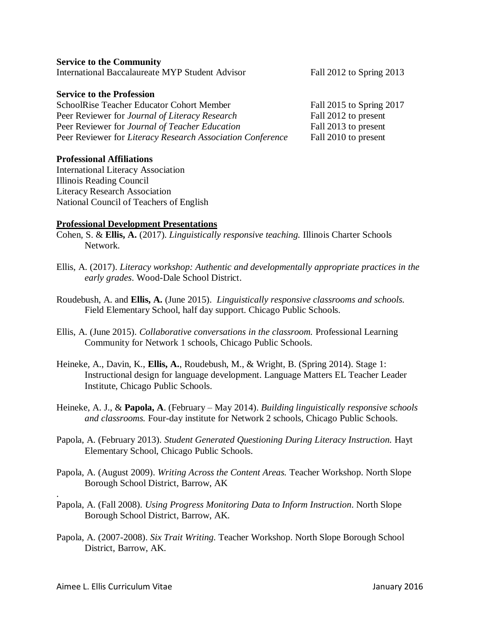.

#### **Service to the Community**

International Baccalaureate MYP Student Advisor Fall 2012 to Spring 2013

#### **Service to the Profession**

SchoolRise Teacher Educator Cohort Member Fall 2015 to Spring 2017 Peer Reviewer for *Journal of Literacy Research* Fall 2012 to present Peer Reviewer for *Journal of Teacher Education* Fall 2013 to present Peer Reviewer for *Literacy Research Association Conference* Fall 2010 to present

#### **Professional Affiliations**

International Literacy Association Illinois Reading Council Literacy Research Association National Council of Teachers of English

#### **Professional Development Presentations**

- Cohen, S. & **Ellis, A.** (2017). *Linguistically responsive teaching.* Illinois Charter Schools Network.
- Ellis, A. (2017). *Literacy workshop: Authentic and developmentally appropriate practices in the early grades*. Wood-Dale School District.
- Roudebush, A. and **Ellis, A.** (June 2015). *Linguistically responsive classrooms and schools.* Field Elementary School, half day support. Chicago Public Schools.
- Ellis, A. (June 2015). *Collaborative conversations in the classroom.* Professional Learning Community for Network 1 schools, Chicago Public Schools.
- Heineke, A., Davin, K., **Ellis, A.**, Roudebush, M., & Wright, B. (Spring 2014). Stage 1: Instructional design for language development. Language Matters EL Teacher Leader Institute, Chicago Public Schools.
- Heineke, A. J., & **Papola, A**. (February May 2014). *Building linguistically responsive schools and classrooms.* Four-day institute for Network 2 schools, Chicago Public Schools.
- Papola, A. (February 2013). *Student Generated Questioning During Literacy Instruction*. Hayt Elementary School, Chicago Public Schools.
- Papola, A. (August 2009). *Writing Across the Content Areas.* Teacher Workshop. North Slope Borough School District, Barrow, AK
- Papola, A. (Fall 2008). *Using Progress Monitoring Data to Inform Instruction*. North Slope Borough School District, Barrow, AK.
- Papola, A. (2007-2008). *Six Trait Writing.* Teacher Workshop. North Slope Borough School District, Barrow, AK.